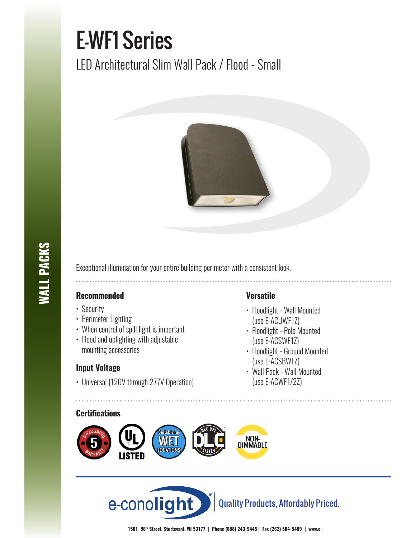# E-WF1 Series

LED Architectural Slim Wall Pack / Flood - Small



Exceptional illumination for your entire building perimeter with a consistent look.

## **Recommended**

- Security
- Perimeter Lighting
- When control of spill light is important
- Flood and uplighting with adjustable mounting accessories

# **Input Voltage**

• Universal (120V through 277V Operation)

### **Certifications**





# **Versatile**

- Floodlight Wall Mounted (use E-ACUWF1Z)
- Floodlight Pole Mounted (use E-ACSWF1Z)
- Floodlight Ground Mounted (use E-ACSBWFZ)
- Wall Pack Wall Mounted (use E-ACWF1/2Z)

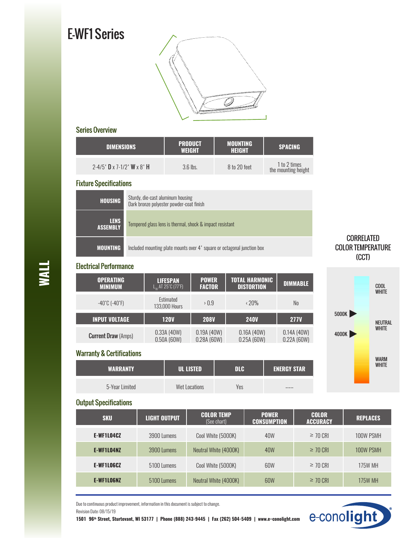# E-WF1 Series



#### Series Overview

| <b>DIMENSIONS</b>                                            | <b>PRODUCT</b><br><b>WEIGHT</b> | <b>MOUNTING</b><br><b>HEIGHT</b> | <b>SPACING</b>                      |
|--------------------------------------------------------------|---------------------------------|----------------------------------|-------------------------------------|
| 2-4/5' $\mathbf{D} \times 7$ -1/2' $\mathbf{W} \times 8$ ' H | $3.6$ lbs.                      | 8 to 20 feet                     | 1 to 2 times<br>the mounting height |

#### Fixture Specifications

| <b>HOUSING</b>                 | Sturdy, die-cast aluminum housing<br>Dark bronze polyester powder-coat finish |
|--------------------------------|-------------------------------------------------------------------------------|
| <b>LENS</b><br><b>ASSEMBLY</b> | Tempered glass lens is thermal, shock & impact resistant                      |
| <b>MOUNTING</b>                | Included mounting plate mounts over 4' square or octagonal junction box       |

#### Electrical Performance

| <b>OPERATING</b>                   | <b>LIFESPAN</b>            | <b>POWER</b>      | <b>TOTAL HARMONIC</b> | <b>DIMMABLE</b> |
|------------------------------------|----------------------------|-------------------|-----------------------|-----------------|
| <b>MINIMUM</b>                     | $L_{10}$ AT 25°C (77°F)    | <b>FACTOR</b>     | <b>DISTORTION</b>     |                 |
| $-40^{\circ}$ C (-40 $^{\circ}$ F) | Estimated<br>133,000 Hours | $\rightarrow 0.9$ | $\cdot$ 20%           | No              |
| <b>INPUT VOLTAGE</b>               | <b>120V</b>                | <b>208V</b>       | <b>240V</b>           | <b>277V</b>     |
| <b>Current Draw (Amps)</b>         | 0.33A(40W)                 | 0.19A(40W)        | 0.16A(40W)            | 0.14A(40W)      |
|                                    | 0.50A(60W)                 | 0.28A(60W)        | 0.25A(60W)            | 0.22A(60W)      |

**WARRANTY UL LISTED DLC ENERGY STAR**

5-Year Limited Wet Locations Yes –––

# CORRELATED COLOR TEMPERATURE (CCT)



## Output Specifications

Warranty & Certifications

| <b>SKU</b>        | <b>LIGHT OUTPUT</b> | <b>COLOR TEMP</b><br>(See chart) | <b>POWER</b><br><b>CONSUMPTION</b> | <b>COLOR</b><br><b>ACCURACY</b> | <b>REPLACES</b> |
|-------------------|---------------------|----------------------------------|------------------------------------|---------------------------------|-----------------|
| <b>E-WF1L04CZ</b> | 3900 Lumens         | Cool White (5000K)               | 40W                                | $\geq$ 70 CRI                   | 100W PSMH       |
| E-WF1L04NZ        | 3900 Lumens         | Neutral White (4000K)            | 40W                                | $\geq$ 70 CRI                   | 100W PSMH       |
| <b>E-WF1L06CZ</b> | 5100 Lumens         | Cool White (5000K)               | 60W                                | $\geq$ 70 CRI                   | 175W MH         |
| E-WF1LO6NZ        | 5100 Lumens         | Neutral White (4000K)            | 60W                                | $\geq$ 70 CRI                   | 175W MH         |

Due to continuous product improvement, information in this document is subject to change.

Revision Date: 08/15/19

**1501 96th Street, Sturtevant, WI 53177 | Phone (888) 243-9445 | Fax (262) 504-5409 | www.e–conolight.com**